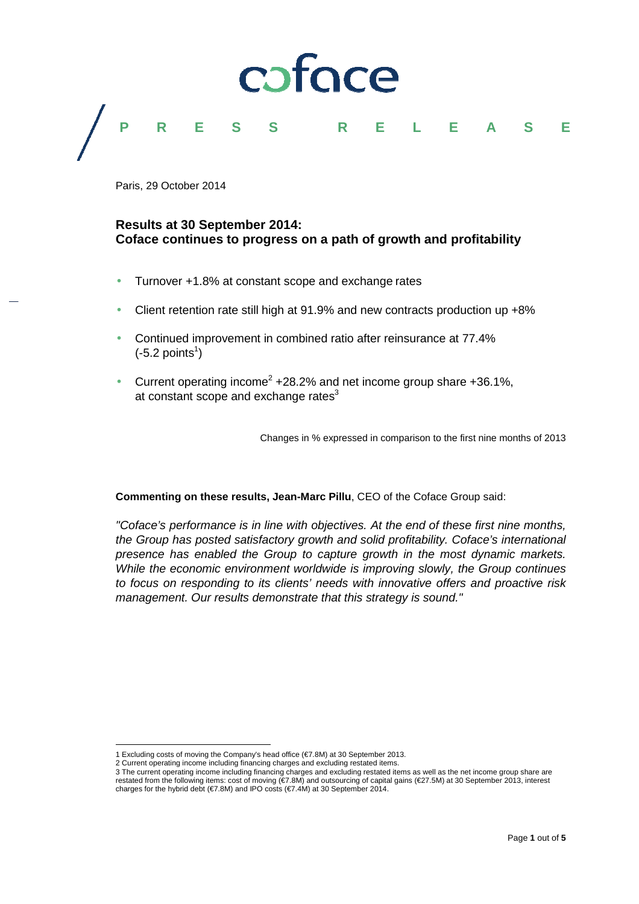

Paris, 29 October 2014

#### **Results at 30 September 2014: Coface continues to progress on a path of growth and profitability**

- Turnover +1.8% at constant scope and exchange rates
- Client retention rate still high at 91.9% and new contracts production up +8%
- Continued improvement in combined ratio after reinsurance at 77.4%  $(-5.2 \text{ points}^1)$
- Current operating income<sup>2</sup> +28.2% and net income group share +36.1%, at constant scope and exchange rates $3$

Changes in % expressed in comparison to the first nine months of 2013

**Commenting on these results, Jean-Marc Pillu**, CEO of the Coface Group said:

"Coface's performance is in line with objectives. At the end of these first nine months, the Group has posted satisfactory growth and solid profitability. Coface's international presence has enabled the Group to capture growth in the most dynamic markets. While the economic environment worldwide is improving slowly, the Group continues to focus on responding to its clients' needs with innovative offers and proactive risk management. Our results demonstrate that this strategy is sound."

l

<sup>1</sup> Excluding costs of moving the Company's head office (€7.8M) at 30 September 2013.

<sup>2</sup> Current operating income including financing charges and excluding restated items.

<sup>3</sup> The current operating income including financing charges and excluding restated items as well as the net income group share are restated from the following items: cost of moving (€7.8M) and outsourcing of capital gains (€27.5M) at 30 September 2013, interest charges for the hybrid debt (€7.8M) and IPO costs (€7.4M) at 30 September 2014.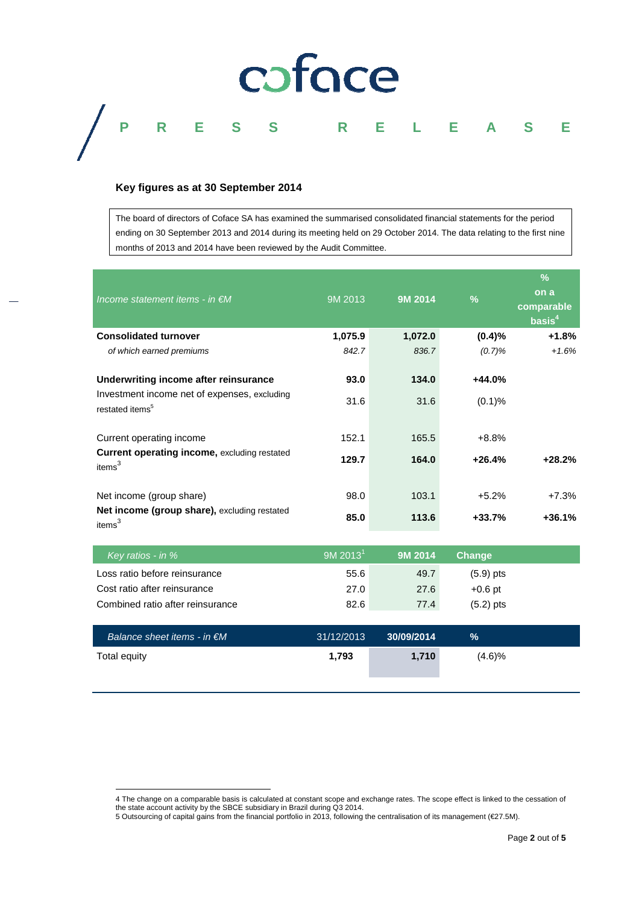# coface

### **P R E S S R E L E A S E**

#### **Key figures as at 30 September 2014**

The board of directors of Coface SA has examined the summarised consolidated financial statements for the period ending on 30 September 2013 and 2014 during its meeting held on 29 October 2014. The data relating to the first nine months of 2013 and 2014 have been reviewed by the Audit Committee.

| Income statement items - in $\notin M$                                      | 9M 2013 | 9M 2014 | $\%$     | %<br>on a<br>comparable<br>basis $4$ |
|-----------------------------------------------------------------------------|---------|---------|----------|--------------------------------------|
| <b>Consolidated turnover</b>                                                | 1,075.9 | 1,072.0 | (0.4)%   | $+1.8%$                              |
| of which earned premiums                                                    | 842.7   | 836.7   | (0.7)%   | $+1.6%$                              |
| Underwriting income after reinsurance                                       | 93.0    | 134.0   | $+44.0%$ |                                      |
| Investment income net of expenses, excluding<br>restated items <sup>5</sup> | 31.6    | 31.6    | (0.1)%   |                                      |
| Current operating income                                                    | 152.1   | 165.5   | $+8.8%$  |                                      |
| <b>Current operating income, excluding restated</b><br>items <sup>3</sup>   | 129.7   | 164.0   | $+26.4%$ | $+28.2%$                             |
| Net income (group share)                                                    | 98.0    | 103.1   | $+5.2%$  | $+7.3%$                              |
| Net income (group share), excluding restated<br>items <sup>3</sup>          | 85.0    | 113.6   | $+33.7%$ | $+36.1%$                             |

| Key ratios - in $%$                 | $9M$ 2013 <sup>1</sup> | 9M 2014    | <b>Change</b> |  |
|-------------------------------------|------------------------|------------|---------------|--|
| Loss ratio before reinsurance       | 55.6                   | 49.7       | $(5.9)$ pts   |  |
| Cost ratio after reinsurance        | 27.0                   | 27.6       | $+0.6$ pt     |  |
| Combined ratio after reinsurance    | 82.6                   | 77.4       | $(5.2)$ pts   |  |
|                                     |                        |            |               |  |
| Balance sheet items - in $\notin M$ | 31/12/2013             | 30/09/2014 | $\%$          |  |
| Total equity                        | 1,793                  | 1,710      | (4.6)%        |  |

l

<sup>4</sup> The change on a comparable basis is calculated at constant scope and exchange rates. The scope effect is linked to the cessation of the state account activity by the SBCE subsidiary in Brazil during Q3 2014.

<sup>5</sup> Outsourcing of capital gains from the financial portfolio in 2013, following the centralisation of its management (€27.5M).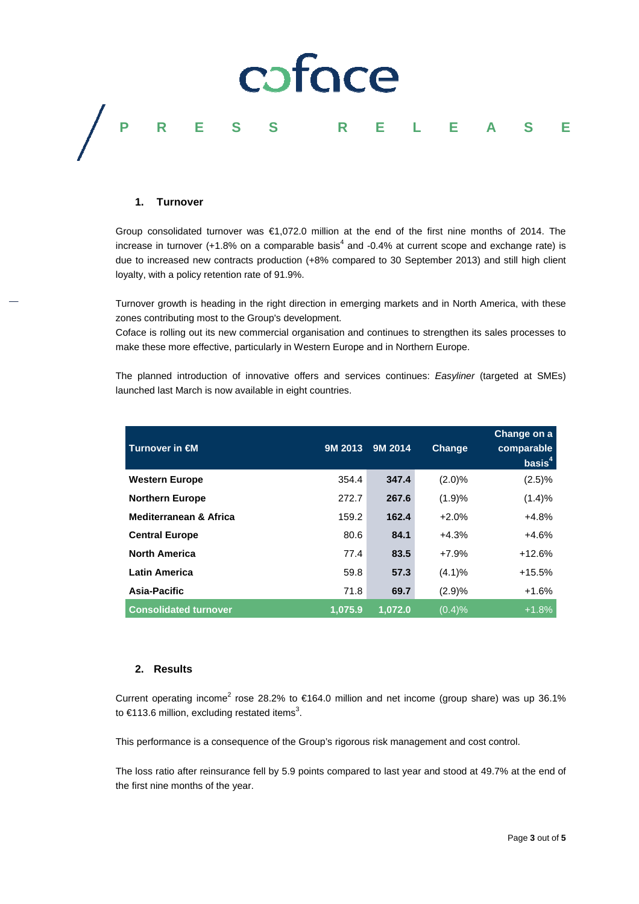

#### **1. Turnover**

Group consolidated turnover was €1,072.0 million at the end of the first nine months of 2014. The increase in turnover (+1.8% on a comparable basis<sup>4</sup> and -0.4% at current scope and exchange rate) is due to increased new contracts production (+8% compared to 30 September 2013) and still high client loyalty, with a policy retention rate of 91.9%.

Turnover growth is heading in the right direction in emerging markets and in North America, with these zones contributing most to the Group's development.

Coface is rolling out its new commercial organisation and continues to strengthen its sales processes to make these more effective, particularly in Western Europe and in Northern Europe.

The planned introduction of innovative offers and services continues: Easyliner (targeted at SMEs) launched last March is now available in eight countries.

| Turnover in $\epsilon$ M          | 9M 2013 | 9M 2014 | <b>Change</b> | Change on a<br>comparable<br>basis <sup>4</sup> |
|-----------------------------------|---------|---------|---------------|-------------------------------------------------|
| <b>Western Europe</b>             | 354.4   | 347.4   | (2.0)%        | (2.5)%                                          |
| <b>Northern Europe</b>            | 272.7   | 267.6   | (1.9)%        | (1.4)%                                          |
| <b>Mediterranean &amp; Africa</b> | 159.2   | 162.4   | $+2.0%$       | $+4.8%$                                         |
| <b>Central Europe</b>             | 80.6    | 84.1    | $+4.3%$       | $+4.6%$                                         |
| <b>North America</b>              | 77.4    | 83.5    | $+7.9%$       | $+12.6%$                                        |
| <b>Latin America</b>              | 59.8    | 57.3    | (4.1)%        | $+15.5%$                                        |
| Asia-Pacific                      | 71.8    | 69.7    | (2.9)%        | $+1.6%$                                         |
| <b>Consolidated turnover</b>      | 1,075.9 | 1,072.0 | (0.4)%        | $+1.8%$                                         |

#### **2. Results**

Current operating income<sup>2</sup> rose 28.2% to €164.0 million and net income (group share) was up 36.1% to €113.6 million, excluding restated items<sup>3</sup>.

This performance is a consequence of the Group's rigorous risk management and cost control.

The loss ratio after reinsurance fell by 5.9 points compared to last year and stood at 49.7% at the end of the first nine months of the year.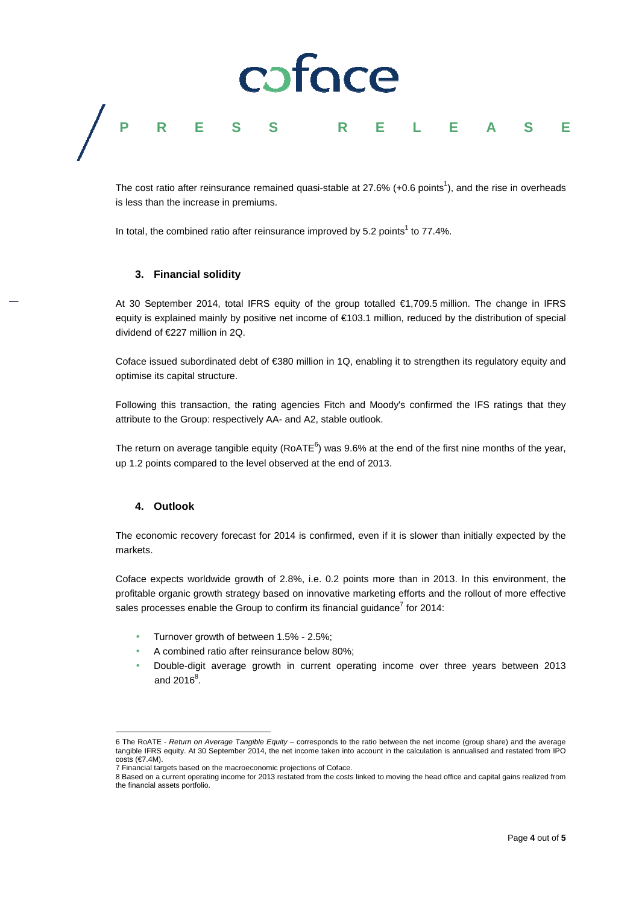## coface **P R E S S R E L E A S E**

The cost ratio after reinsurance remained quasi-stable at  $27.6\%$  (+0.6 points<sup>1</sup>), and the rise in overheads is less than the increase in premiums.

In total, the combined ratio after reinsurance improved by 5.2 points<sup>1</sup> to 77.4%.

#### **3. Financial solidity**

At 30 September 2014, total IFRS equity of the group totalled €1,709.5 million. The change in IFRS equity is explained mainly by positive net income of €103.1 million, reduced by the distribution of special dividend of €227 million in 2Q.

Coface issued subordinated debt of €380 million in 1Q, enabling it to strengthen its regulatory equity and optimise its capital structure.

Following this transaction, the rating agencies Fitch and Moody's confirmed the IFS ratings that they attribute to the Group: respectively AA- and A2, stable outlook.

The return on average tangible equity (RoATE<sup>6</sup>) was 9.6% at the end of the first nine months of the year, up 1.2 points compared to the level observed at the end of 2013.

#### **4. Outlook**

 $\overline{a}$ 

The economic recovery forecast for 2014 is confirmed, even if it is slower than initially expected by the markets.

Coface expects worldwide growth of 2.8%, i.e. 0.2 points more than in 2013. In this environment, the profitable organic growth strategy based on innovative marketing efforts and the rollout of more effective sales processes enable the Group to confirm its financial guidance<sup>7</sup> for 2014:

- Turnover growth of between 1.5% 2.5%;
- A combined ratio after reinsurance below 80%;
- Double-digit average growth in current operating income over three years between 2013 and 2016 $^8$ .

<sup>6</sup> The RoATE - Return on Average Tangible Equity – corresponds to the ratio between the net income (group share) and the average tangible IFRS equity. At 30 September 2014, the net income taken into account in the calculation is annualised and restated from IPO costs  $(€7.4M)$ .

<sup>7</sup> Financial targets based on the macroeconomic projections of Coface.

<sup>8</sup> Based on a current operating income for 2013 restated from the costs linked to moving the head office and capital gains realized from the financial assets portfolio.